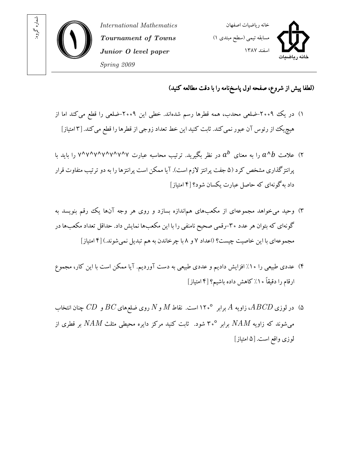

International Mathematics Tournament of Towns Junior O level paper Spring 2009



(لطفا پيش از شروع، صفحه اول پاسخ نامه را با دقت مطالعه کنيد)

- )۱ در يک -۲۰۰۹ضلعي محدب، همه قطرها رسم شدهاند. خطي اين -۲۰۰۹ضلعي را قطع ميکند اما از هيچيک از رئوس آن عبور نمي کند. ثابت کنيد اين خط تعداد زوجي از قطرها را قطع مي کند. [۳امتياز]
- ۲) علامت  $a^{\,b}$  را به معناى  $a^{\,b}$  در نظر بگيريد. ترتيب محاسبه عبارت ۷^۷^۷^۷^۷^۷ را بايد با پرانتزگذاری مشخص کرد (۵ جفت پرانتز لازم است). آیا ممکن است پرانتزها را به دو ترتیب متفاوت قرار داد به گونهای که حاصل عبارت يکسان شود؟ [۴ امتياز]
- ۳) وحيد مي خواهد مجموعهاى از مکعبهاى هم|ندازه بسازد و روى هر وجه آنها یک رقم بنویسد به گونهاي كه بتوان هر عدد ۳۰-رقمي صحيح نامنفي را با اين مكعبها نمايش داد. حداقل تعداد مكعبها در مجموعه اي با اين خاصيت چيست؟ (اعداد ۷ و ۸ با چرخاندن به هم تبديل نمي شوند.) [۴ امتياز]
- ۴) عددی طبيعی را ۱۰٪ افزايش داديم و عددی طبيعی به دست آورديم. آيا ممکن است با اين کار، مجموع ارقام را دقيقاً ۱۰٪ کاهش داده باشيم؟ [۴ امتياز]
- ۵) در لوزی  $ABCD$ ، زاویه  $A$  برابر ۱۲۰° است. نقاط  $M$  و  $N$  روی ضلع های $BC$  و  $CD$  چنان انتخاب  $\;$ می شوند که زاویه  $NAM$  برابر °۳۰ شود. ثابت کنید مرکز دایره محیطی مثلث  $NAM$  بر قطری از لوز ي واقع است ۵[ . امتياز]